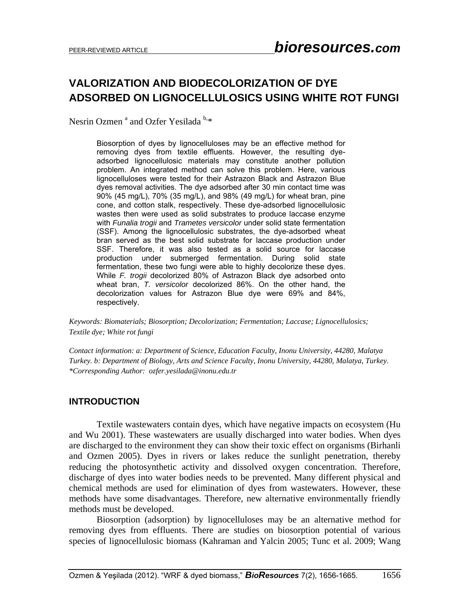# **VALORIZATION AND BIODECOLORIZATION OF DYE ADSORBED ON LIGNOCELLULOSICS USING WHITE ROT FUNGI**

Nesrin Ozmen<sup>a</sup> and Ozfer Yesilada<sup>b,\*</sup>

Biosorption of dyes by lignocelluloses may be an effective method for removing dyes from textile effluents. However, the resulting dyeadsorbed lignocellulosic materials may constitute another pollution problem. An integrated method can solve this problem. Here, various lignocelluloses were tested for their Astrazon Black and Astrazon Blue dyes removal activities. The dye adsorbed after 30 min contact time was 90% (45 mg/L), 70% (35 mg/L), and 98% (49 mg/L) for wheat bran, pine cone, and cotton stalk, respectively. These dye-adsorbed lignocellulosic wastes then were used as solid substrates to produce laccase enzyme with *Funalia trogii* and *Trametes versicolor* under solid state fermentation (SSF). Among the lignocellulosic substrates, the dye-adsorbed wheat bran served as the best solid substrate for laccase production under SSF. Therefore, it was also tested as a solid source for laccase production under submerged fermentation. During solid state fermentation, these two fungi were able to highly decolorize these dyes. While *F. trogii* decolorized 80% of Astrazon Black dye adsorbed onto wheat bran, *T. versicolor* decolorized 86%. On the other hand, the decolorization values for Astrazon Blue dye were 69% and 84%, respectively.

*Keywords: Biomaterials; Biosorption; Decolorization; Fermentation; Laccase; Lignocellulosics; Textile dye; White rot fungi*

*Contact information: a: Department of Science, Education Faculty, Inonu University, 44280, Malatya Turkey. b: Department of Biology, Arts and Science Faculty, Inonu University, 44280, Malatya, Turkey. \*Corresponding Author: ozfer.yesilada@inonu.edu.tr* 

## **INTRODUCTION**

 Textile wastewaters contain dyes, which have negative impacts on ecosystem (Hu and Wu 2001). These wastewaters are usually discharged into water bodies. When dyes are discharged to the environment they can show their toxic effect on organisms (Birhanli and Ozmen 2005). Dyes in rivers or lakes reduce the sunlight penetration, thereby reducing the photosynthetic activity and dissolved oxygen concentration. Therefore, discharge of dyes into water bodies needs to be prevented. Many different physical and chemical methods are used for elimination of dyes from wastewaters. However, these methods have some disadvantages. Therefore, new alternative environmentally friendly methods must be developed.

 Biosorption (adsorption) by lignocelluloses may be an alternative method for removing dyes from effluents. There are studies on biosorption potential of various species of lignocellulosic biomass (Kahraman and Yalcin 2005; Tunc et al. 2009; Wang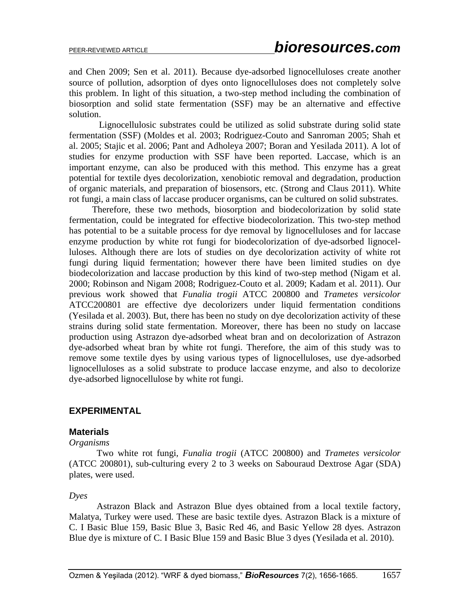and Chen 2009; Sen et al. 2011). Because dye-adsorbed lignocelluloses create another source of pollution, adsorption of dyes onto lignocelluloses does not completely solve this problem. In light of this situation, a two-step method including the combination of biosorption and solid state fermentation (SSF) may be an alternative and effective solution.

 Lignocellulosic substrates could be utilized as solid substrate during solid state fermentation (SSF) (Moldes et al. 2003; Rodriguez-Couto and Sanroman 2005; Shah et al. 2005; Stajic et al. 2006; Pant and Adholeya 2007; Boran and Yesilada 2011). A lot of studies for enzyme production with SSF have been reported. Laccase, which is an important enzyme, can also be produced with this method. This enzyme has a great potential for textile dyes decolorization, xenobiotic removal and degradation, production of organic materials, and preparation of biosensors, etc. (Strong and Claus 2011). White rot fungi, a main class of laccase producer organisms, can be cultured on solid substrates.

 Therefore, these two methods, biosorption and biodecolorization by solid state fermentation, could be integrated for effective biodecolorization. This two-step method has potential to be a suitable process for dye removal by lignocelluloses and for laccase enzyme production by white rot fungi for biodecolorization of dye-adsorbed lignocelluloses. Although there are lots of studies on dye decolorization activity of white rot fungi during liquid fermentation; however there have been limited studies on dye biodecolorization and laccase production by this kind of two-step method (Nigam et al. 2000; Robinson and Nigam 2008; Rodriguez-Couto et al. 2009; Kadam et al. 2011). Our previous work showed that *Funalia trogii* ATCC 200800 and *Trametes versicolor* ATCC200801 are effective dye decolorizers under liquid fermentation conditions (Yesilada et al. 2003). But, there has been no study on dye decolorization activity of these strains during solid state fermentation. Moreover, there has been no study on laccase production using Astrazon dye-adsorbed wheat bran and on decolorization of Astrazon dye-adsorbed wheat bran by white rot fungi. Therefore, the aim of this study was to remove some textile dyes by using various types of lignocelluloses, use dye-adsorbed lignocelluloses as a solid substrate to produce laccase enzyme, and also to decolorize dye-adsorbed lignocellulose by white rot fungi.

## **EXPERIMENTAL**

#### **Materials**

#### *Organisms*

 Two white rot fungi*, Funalia trogii* (ATCC 200800) and *Trametes versicolor* (ATCC 200801), sub-culturing every 2 to 3 weeks on Sabouraud Dextrose Agar (SDA) plates, were used.

#### *Dyes*

 Astrazon Black and Astrazon Blue dyes obtained from a local textile factory, Malatya, Turkey were used. These are basic textile dyes. Astrazon Black is a mixture of C. I Basic Blue 159, Basic Blue 3, Basic Red 46, and Basic Yellow 28 dyes. Astrazon Blue dye is mixture of C. I Basic Blue 159 and Basic Blue 3 dyes (Yesilada et al. 2010).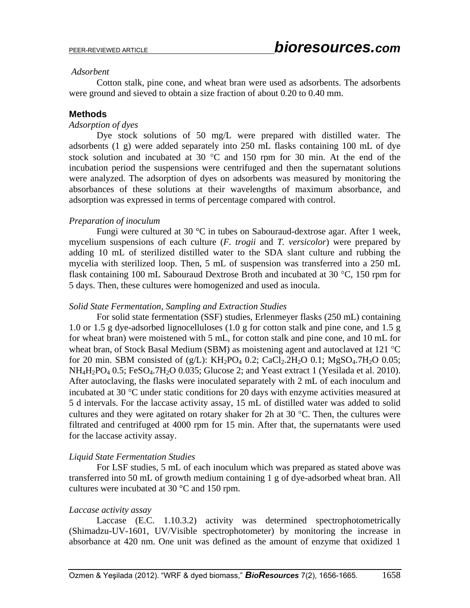#### *Adsorbent*

 Cotton stalk, pine cone, and wheat bran were used as adsorbents. The adsorbents were ground and sieved to obtain a size fraction of about 0.20 to 0.40 mm.

### **Methods**

#### *Adsorption of dyes*

 Dye stock solutions of 50 mg/L were prepared with distilled water. The adsorbents (1 g) were added separately into 250 mL flasks containing 100 mL of dye stock solution and incubated at 30  $^{\circ}$ C and 150 rpm for 30 min. At the end of the incubation period the suspensions were centrifuged and then the supernatant solutions were analyzed. The adsorption of dyes on adsorbents was measured by monitoring the absorbances of these solutions at their wavelengths of maximum absorbance, and adsorption was expressed in terms of percentage compared with control.

## *Preparation of inoculum*

 Fungi were cultured at 30 °C in tubes on Sabouraud-dextrose agar. After 1 week, mycelium suspensions of each culture (*F. trogii* and *T. versicolor*) were prepared by adding 10 mL of sterilized distilled water to the SDA slant culture and rubbing the mycelia with sterilized loop. Then, 5 mL of suspension was transferred into a 250 mL flask containing 100 mL Sabouraud Dextrose Broth and incubated at 30  $\degree$ C, 150 rpm for 5 days. Then, these cultures were homogenized and used as inocula.

### *Solid State Fermentation, Sampling and Extraction Studies*

 For solid state fermentation (SSF) studies, Erlenmeyer flasks (250 mL) containing 1.0 or 1.5 g dye-adsorbed lignocelluloses (1.0 g for cotton stalk and pine cone, and 1.5 g for wheat bran) were moistened with 5 mL, for cotton stalk and pine cone, and 10 mL for wheat bran, of Stock Basal Medium (SBM) as moistening agent and autoclaved at 121  $^{\circ}$ C for 20 min. SBM consisted of (g/L):  $KH_2PO_4$  0.2; CaCl<sub>2</sub>.2H<sub>2</sub>O 0.1; MgSO<sub>4</sub>.7H<sub>2</sub>O 0.05;  $NH_4H_2PO_4$  0.5; FeSO<sub>4</sub>.7H<sub>2</sub>O 0.035; Glucose 2; and Yeast extract 1 (Yesilada et al. 2010). After autoclaving, the flasks were inoculated separately with 2 mL of each inoculum and incubated at 30  $\degree$ C under static conditions for 20 days with enzyme activities measured at 5 d intervals. For the laccase activity assay, 15 mL of distilled water was added to solid cultures and they were agitated on rotary shaker for 2h at 30  $^{\circ}$ C. Then, the cultures were filtrated and centrifuged at 4000 rpm for 15 min. After that, the supernatants were used for the laccase activity assay.

#### *Liquid State Fermentation Studies*

 For LSF studies, 5 mL of each inoculum which was prepared as stated above was transferred into 50 mL of growth medium containing 1 g of dye-adsorbed wheat bran. All cultures were incubated at 30 °C and 150 rpm.

#### *Laccase activity assay*

 Laccase (E.C. 1.10.3.2) activity was determined spectrophotometrically (Shimadzu-UV-1601, UV/Visible spectrophotometer) by monitoring the increase in absorbance at 420 nm. One unit was defined as the amount of enzyme that oxidized 1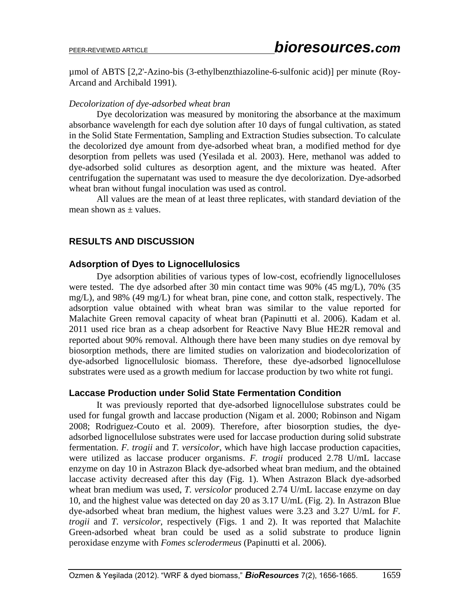µmol of ABTS [2,2'-Azino-bis (3-ethylbenzthiazoline-6-sulfonic acid)] per minute (Roy-Arcand and Archibald 1991).

## *Decolorization of dye-adsorbed wheat bran*

 Dye decolorization was measured by monitoring the absorbance at the maximum absorbance wavelength for each dye solution after 10 days of fungal cultivation, as stated in the Solid State Fermentation, Sampling and Extraction Studies subsection. To calculate the decolorized dye amount from dye-adsorbed wheat bran, a modified method for dye desorption from pellets was used (Yesilada et al. 2003). Here, methanol was added to dye-adsorbed solid cultures as desorption agent, and the mixture was heated. After centrifugation the supernatant was used to measure the dye decolorization. Dye-adsorbed wheat bran without fungal inoculation was used as control.

All values are the mean of at least three replicates, with standard deviation of the mean shown as  $\pm$  values.

## **RESULTS AND DISCUSSION**

## **Adsorption of Dyes to Lignocellulosics**

 Dye adsorption abilities of various types of low-cost, ecofriendly lignocelluloses were tested. The dye adsorbed after 30 min contact time was 90% (45 mg/L), 70% (35 mg/L), and 98% (49 mg/L) for wheat bran, pine cone, and cotton stalk, respectively. The adsorption value obtained with wheat bran was similar to the value reported for Malachite Green removal capacity of wheat bran (Papinutti et al. 2006). Kadam et al. 2011 used rice bran as a cheap adsorbent for Reactive Navy Blue HE2R removal and reported about 90% removal. Although there have been many studies on dye removal by biosorption methods, there are limited studies on valorization and biodecolorization of dye-adsorbed lignocellulosic biomass. Therefore, these dye-adsorbed lignocellulose substrates were used as a growth medium for laccase production by two white rot fungi.

## **Laccase Production under Solid State Fermentation Condition**

 It was previously reported that dye-adsorbed lignocellulose substrates could be used for fungal growth and laccase production (Nigam et al. 2000; Robinson and Nigam 2008; Rodriguez-Couto et al. 2009). Therefore, after biosorption studies, the dyeadsorbed lignocellulose substrates were used for laccase production during solid substrate fermentation. *F. trogii* and *T. versicolor*, which have high laccase production capacities, were utilized as laccase producer organisms. *F. trogii* produced 2.78 U/mL laccase enzyme on day 10 in Astrazon Black dye-adsorbed wheat bran medium, and the obtained laccase activity decreased after this day (Fig. 1). When Astrazon Black dye-adsorbed wheat bran medium was used, *T. versicolor* produced 2.74 U/mL laccase enzyme on day 10, and the highest value was detected on day 20 as 3.17 U/mL (Fig. 2). In Astrazon Blue dye-adsorbed wheat bran medium, the highest values were 3.23 and 3.27 U/mL for *F. trogii* and *T. versicolor*, respectively (Figs. 1 and 2). It was reported that Malachite Green-adsorbed wheat bran could be used as a solid substrate to produce lignin peroxidase enzyme with *Fomes sclerodermeus* (Papinutti et al. 2006).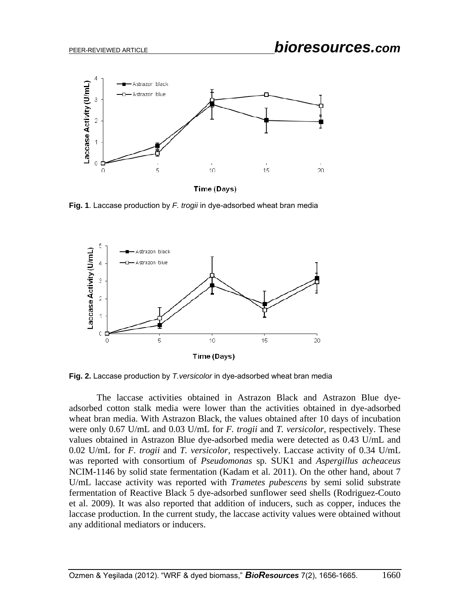

Time (Days)

**Fig. 1**. Laccase production by *F. trogii* in dye-adsorbed wheat bran media



**Fig. 2.** Laccase production by *T.versicolor* in dye-adsorbed wheat bran media

The laccase activities obtained in Astrazon Black and Astrazon Blue dyeadsorbed cotton stalk media were lower than the activities obtained in dye-adsorbed wheat bran media. With Astrazon Black, the values obtained after 10 days of incubation were only 0.67 U/mL and 0.03 U/mL for *F. trogii* and *T. versicolor*, respectively. These values obtained in Astrazon Blue dye-adsorbed media were detected as 0.43 U/mL and 0.02 U/mL for *F. trogii* and *T. versicolor*, respectively. Laccase activity of 0.34 U/mL was reported with consortium of *Pseudomonas* sp. SUK1 and *Aspergillus acheaceus* NCIM-1146 by solid state fermentation (Kadam et al. 2011). On the other hand, about 7 U/mL laccase activity was reported with *Trametes pubescens* by semi solid substrate fermentation of Reactive Black 5 dye-adsorbed sunflower seed shells (Rodriguez-Couto et al. 2009). It was also reported that addition of inducers, such as copper, induces the laccase production. In the current study, the laccase activity values were obtained without any additional mediators or inducers.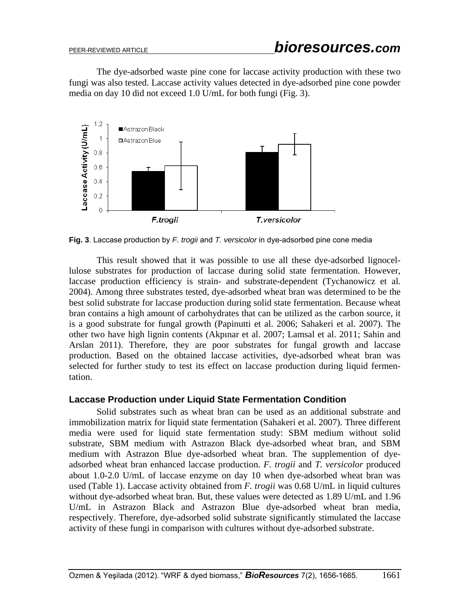The dye-adsorbed waste pine cone for laccase activity production with these two fungi was also tested. Laccase activity values detected in dye-adsorbed pine cone powder media on day 10 did not exceed 1.0 U/mL for both fungi (Fig. 3).



**Fig. 3**. Laccase production by *F. trogii* and *T. versicolor* in dye-adsorbed pine cone media

 This result showed that it was possible to use all these dye-adsorbed lignocellulose substrates for production of laccase during solid state fermentation. However, laccase production efficiency is strain- and substrate-dependent (Tychanowicz et al. 2004). Among three substrates tested, dye-adsorbed wheat bran was determined to be the best solid substrate for laccase production during solid state fermentation. Because wheat bran contains a high amount of carbohydrates that can be utilized as the carbon source, it is a good substrate for fungal growth (Papinutti et al. 2006; Sahakeri et al. 2007). The other two have high lignin contents (Akpınar et al. 2007; Lamsal et al. 2011; Sahin and Arslan 2011). Therefore, they are poor substrates for fungal growth and laccase production. Based on the obtained laccase activities, dye-adsorbed wheat bran was selected for further study to test its effect on laccase production during liquid fermentation.

## **Laccase Production under Liquid State Fermentation Condition**

 Solid substrates such as wheat bran can be used as an additional substrate and immobilization matrix for liquid state fermentation (Sahakeri et al. 2007). Three different media were used for liquid state fermentation study: SBM medium without solid substrate, SBM medium with Astrazon Black dye-adsorbed wheat bran, and SBM medium with Astrazon Blue dye-adsorbed wheat bran. The supplemention of dyeadsorbed wheat bran enhanced laccase production. *F. trogii* and *T. versicolor* produced about 1.0-2.0 U/mL of laccase enzyme on day 10 when dye-adsorbed wheat bran was used (Table 1). Laccase activity obtained from *F. trogii* was 0.68 U/mL in liquid cultures without dye-adsorbed wheat bran. But, these values were detected as 1.89 U/mL and 1.96 U/mL in Astrazon Black and Astrazon Blue dye-adsorbed wheat bran media, respectively. Therefore, dye-adsorbed solid substrate significantly stimulated the laccase activity of these fungi in comparison with cultures without dye-adsorbed substrate.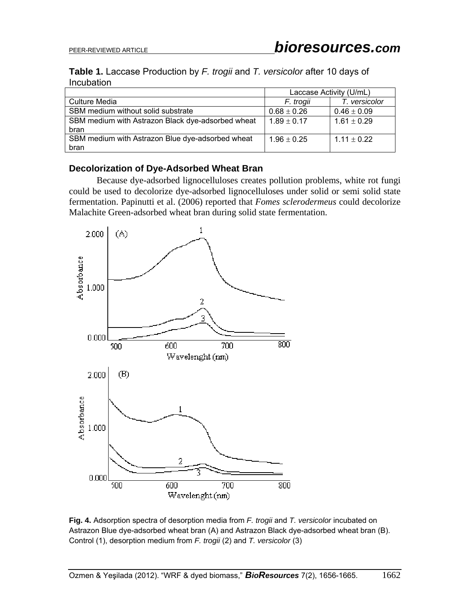## **Table 1.** Laccase Production by *F. trogii* and *T. versicolor* after 10 days of **Incubation**

|                                                   | Laccase Activity (U/mL) |                 |
|---------------------------------------------------|-------------------------|-----------------|
| <b>Culture Media</b>                              | F. trogii               | T. versicolor   |
| SBM medium without solid substrate                | $0.68 \pm 0.26$         | $0.46 \pm 0.09$ |
| SBM medium with Astrazon Black dye-adsorbed wheat | $1.89 \pm 0.17$         | $1.61 \pm 0.29$ |
| bran                                              |                         |                 |
| SBM medium with Astrazon Blue dye-adsorbed wheat  | $1.96 \pm 0.25$         | $1.11 \pm 0.22$ |
| bran                                              |                         |                 |

## **Decolorization of Dye-Adsorbed Wheat Bran**

 Because dye-adsorbed lignocelluloses creates pollution problems, white rot fungi could be used to decolorize dye-adsorbed lignocelluloses under solid or semi solid state fermentation. Papinutti et al. (2006) reported that *Fomes sclerodermeus* could decolorize Malachite Green-adsorbed wheat bran during solid state fermentation.



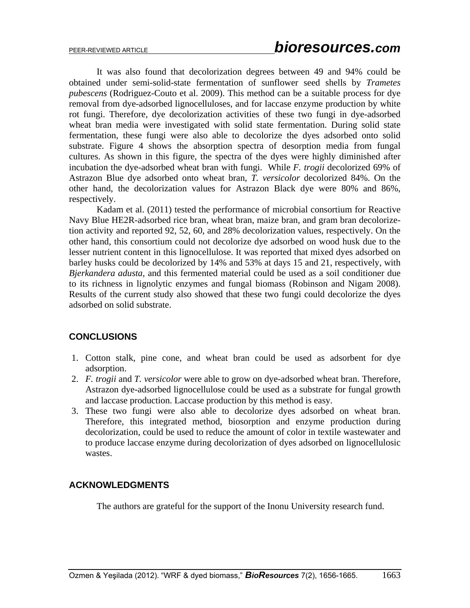It was also found that decolorization degrees between 49 and 94% could be obtained under semi-solid-state fermentation of sunflower seed shells by *Trametes pubescens* (Rodriguez-Couto et al. 2009). This method can be a suitable process for dye removal from dye-adsorbed lignocelluloses, and for laccase enzyme production by white rot fungi. Therefore, dye decolorization activities of these two fungi in dye-adsorbed wheat bran media were investigated with solid state fermentation. During solid state fermentation, these fungi were also able to decolorize the dyes adsorbed onto solid substrate. Figure 4 shows the absorption spectra of desorption media from fungal cultures. As shown in this figure, the spectra of the dyes were highly diminished after incubation the dye-adsorbed wheat bran with fungi. While *F. trogii* decolorized 69% of Astrazon Blue dye adsorbed onto wheat bran, *T. versicolor* decolorized 84%. On the other hand, the decolorization values for Astrazon Black dye were 80% and 86%, respectively.

Kadam et al. (2011) tested the performance of microbial consortium for Reactive Navy Blue HE2R-adsorbed rice bran, wheat bran, maize bran, and gram bran decolorizetion activity and reported 92, 52, 60, and 28% decolorization values, respectively. On the other hand, this consortium could not decolorize dye adsorbed on wood husk due to the lesser nutrient content in this lignocellulose. It was reported that mixed dyes adsorbed on barley husks could be decolorized by 14% and 53% at days 15 and 21, respectively, with *Bjerkandera adusta*, and this fermented material could be used as a soil conditioner due to its richness in lignolytic enzymes and fungal biomass (Robinson and Nigam 2008). Results of the current study also showed that these two fungi could decolorize the dyes adsorbed on solid substrate.

# **CONCLUSIONS**

- 1. Cotton stalk, pine cone, and wheat bran could be used as adsorbent for dye adsorption.
- 2. *F. trogii* and *T. versicolor* were able to grow on dye-adsorbed wheat bran. Therefore, Astrazon dye-adsorbed lignocellulose could be used as a substrate for fungal growth and laccase production. Laccase production by this method is easy.
- 3. These two fungi were also able to decolorize dyes adsorbed on wheat bran. Therefore, this integrated method, biosorption and enzyme production during decolorization, could be used to reduce the amount of color in textile wastewater and to produce laccase enzyme during decolorization of dyes adsorbed on lignocellulosic wastes.

# **ACKNOWLEDGMENTS**

The authors are grateful for the support of the Inonu University research fund.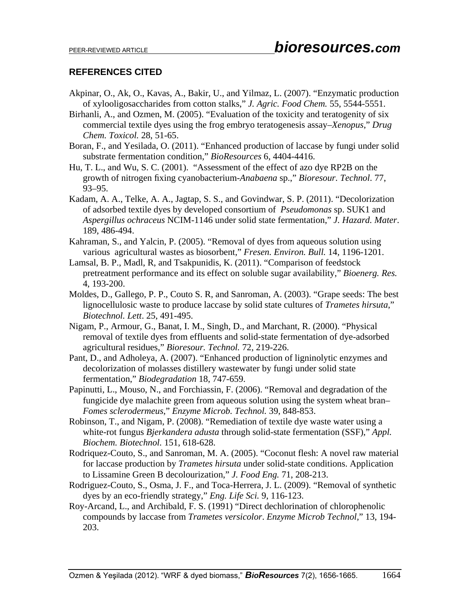## **REFERENCES CITED**

- Akpinar, O., Ak, O., Kavas, A., Bakir, U., and Yilmaz, L. (2007). "Enzymatic production of xylooligosaccharides from cotton stalks," *J. Agric. Food Chem.* 55, 5544-5551.
- Birhanli, A., and Ozmen, M. (2005). "Evaluation of the toxicity and teratogenity of six commercial textile dyes using the frog embryo teratogenesis assay–*Xenopus*," *Drug Chem. Toxicol.* 28, 51-65.
- Boran, F., and Yesilada, O. (2011). "Enhanced production of laccase by fungi under solid substrate fermentation condition," *BioResources* 6, 4404-4416.
- Hu, T. L., and Wu, S. C. (2001). "Assessment of the effect of azo dye RP2B on the growth of nitrogen fixing cyanobacterium-*Anabaena* sp.," *Bioresour. Technol*. 77, 93–95.
- Kadam, A. A., Telke, A. A., Jagtap, S. S., and Govindwar, S. P. (2011). "Decolorization of adsorbed textile dyes by developed consortium of *Pseudomonas* sp. SUK1 and *Aspergillus ochraceus* NCIM-1146 under solid state fermentation," *J. Hazard. Mater*. 189, 486-494.
- Kahraman, S., and Yalcin, P. (2005). "Removal of dyes from aqueous solution using various agricultural wastes as biosorbent," *Fresen. Environ. Bull.* 14, 1196-1201.
- Lamsal, B. P., Madl, R, and Tsakpunidis, K. (2011). "Comparison of feedstock pretreatment performance and its effect on soluble sugar availability," *Bioenerg. Res.* 4, 193-200.
- Moldes, D., Gallego, P. P., Couto S. R, and Sanroman, A. (2003). "Grape seeds: The best lignocellulosic waste to produce laccase by solid state cultures of *Trametes hirsuta*," *Biotechnol. Lett*. 25, 491-495.
- Nigam, P., Armour, G., Banat, I. M., Singh, D., and Marchant, R. (2000). "Physical removal of textile dyes from effluents and solid-state fermentation of dye-adsorbed agricultural residues," *Bioresour. Technol.* 72, 219-226.
- Pant, D., and Adholeya, A. (2007). "Enhanced production of ligninolytic enzymes and decolorization of molasses distillery wastewater by fungi under solid state fermentation," *Biodegradation* 18, 747-659.
- Papinutti, L., Mouso, N., and Forchiassin, F. (2006). "Removal and degradation of the fungicide dye malachite green from aqueous solution using the system wheat bran– *Fomes sclerodermeus*," *Enzyme Microb. Technol.* 39, 848-853.
- Robinson, T., and Nigam, P. (2008). "Remediation of textile dye waste water using a white-rot fungus *Bjerkandera adusta* through solid-state fermentation (SSF)," *Appl. Biochem. Biotechnol.* 151, 618-628.
- Rodriquez-Couto, S., and Sanroman, M. A. (2005). "Coconut flesh: A novel raw material for laccase production by *Trametes hirsuta* under solid-state conditions. Application to Lissamine Green B decolourization," *J. Food Eng.* 71, 208-213.
- Rodriguez-Couto, S., Osma, J. F., and Toca-Herrera, J. L. (2009). "Removal of synthetic dyes by an eco-friendly strategy," *Eng. Life Sci.* 9, 116-123.
- Roy-Arcand, L., and Archibald, F. S. (1991) "Direct dechlorination of chlorophenolic compounds by laccase from *Trametes versicolor*. *Enzyme Microb Technol,*" 13, 194- 203.